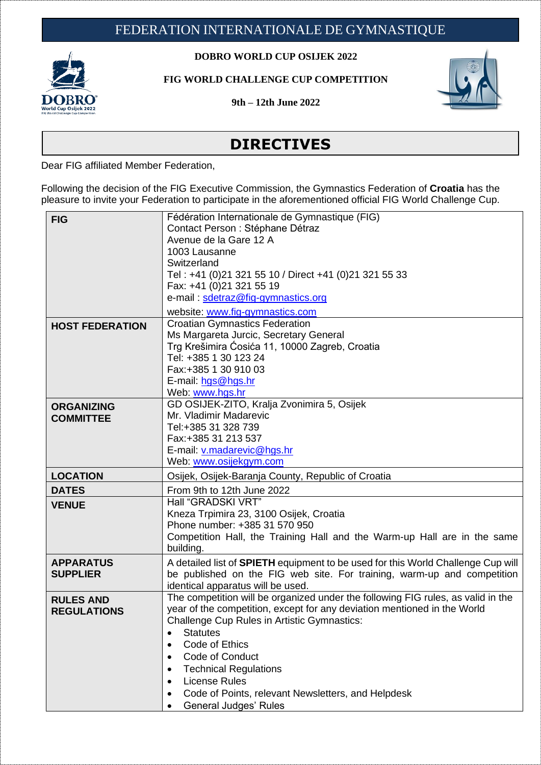

## **DOBRO WORLD CUP OSIJEK 2022**

**FIG WORLD CHALLENGE CUP COMPETITION**

**9th – 12th June 2022**



## **DIRECTIVES**

Dear FIG affiliated Member Federation,

Following the decision of the FIG Executive Commission, the Gymnastics Federation of **Croatia** has the pleasure to invite your Federation to participate in the aforementioned official FIG World Challenge Cup.

| <b>FIG</b>                             | Fédération Internationale de Gymnastique (FIG)<br>Contact Person : Stéphane Détraz<br>Avenue de la Gare 12 A<br>1003 Lausanne<br>Switzerland<br>Tel: +41 (0)21 321 55 10 / Direct +41 (0)21 321 55 33<br>Fax: +41 (0)21 321 55 19<br>e-mail: sdetraz@fig-gymnastics.org<br>website: www.fig-gymnastics.com                                                                                                                                              |
|----------------------------------------|---------------------------------------------------------------------------------------------------------------------------------------------------------------------------------------------------------------------------------------------------------------------------------------------------------------------------------------------------------------------------------------------------------------------------------------------------------|
| <b>HOST FEDERATION</b>                 | <b>Croatian Gymnastics Federation</b><br>Ms Margareta Jurcic, Secretary General<br>Trg Krešimira Ćosića 11, 10000 Zagreb, Croatia<br>Tel: +385 1 30 123 24<br>Fax:+385 1 30 910 03<br>E-mail: hgs@hgs.hr<br>Web: www.hgs.hr                                                                                                                                                                                                                             |
| <b>ORGANIZING</b><br><b>COMMITTEE</b>  | GD OSIJEK-ZITO, Kralja Zvonimira 5, Osijek<br>Mr. Vladimir Madarevic<br>Tel:+385 31 328 739<br>Fax: +385 31 213 537<br>E-mail: v.madarevic@hgs.hr<br>Web: www.osijekgym.com                                                                                                                                                                                                                                                                             |
| <b>LOCATION</b>                        | Osijek, Osijek-Baranja County, Republic of Croatia                                                                                                                                                                                                                                                                                                                                                                                                      |
| <b>DATES</b>                           | From 9th to 12th June 2022                                                                                                                                                                                                                                                                                                                                                                                                                              |
| <b>VENUE</b>                           | Hall "GRADSKI VRT"<br>Kneza Trpimira 23, 3100 Osijek, Croatia<br>Phone number: +385 31 570 950<br>Competition Hall, the Training Hall and the Warm-up Hall are in the same<br>building.                                                                                                                                                                                                                                                                 |
| <b>APPARATUS</b><br><b>SUPPLIER</b>    | A detailed list of <b>SPIETH</b> equipment to be used for this World Challenge Cup will<br>be published on the FIG web site. For training, warm-up and competition<br>identical apparatus will be used.                                                                                                                                                                                                                                                 |
| <b>RULES AND</b><br><b>REGULATIONS</b> | The competition will be organized under the following FIG rules, as valid in the<br>year of the competition, except for any deviation mentioned in the World<br><b>Challenge Cup Rules in Artistic Gymnastics:</b><br><b>Statutes</b><br>$\bullet$<br>Code of Ethics<br>Code of Conduct<br><b>Technical Regulations</b><br>$\bullet$<br><b>License Rules</b><br>٠<br>Code of Points, relevant Newsletters, and Helpdesk<br><b>General Judges' Rules</b> |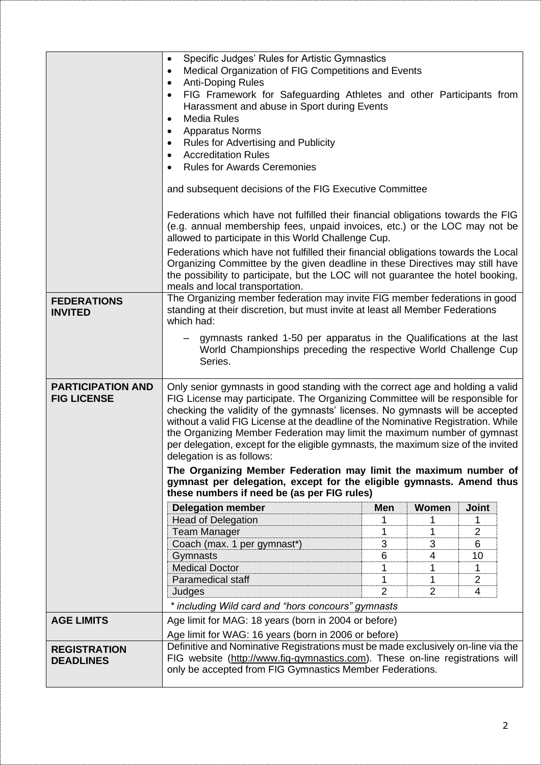|                                                | Specific Judges' Rules for Artistic Gymnastics<br>$\bullet$<br>Medical Organization of FIG Competitions and Events<br>$\bullet$<br><b>Anti-Doping Rules</b><br>$\bullet$<br>FIG Framework for Safeguarding Athletes and other Participants from<br>Harassment and abuse in Sport during Events<br><b>Media Rules</b><br>٠<br><b>Apparatus Norms</b><br>٠<br><b>Rules for Advertising and Publicity</b><br>٠<br><b>Accreditation Rules</b><br>٠<br><b>Rules for Awards Ceremonies</b><br>and subsequent decisions of the FIG Executive Committee<br>Federations which have not fulfilled their financial obligations towards the FIG<br>(e.g. annual membership fees, unpaid invoices, etc.) or the LOC may not be<br>allowed to participate in this World Challenge Cup.<br>Federations which have not fulfilled their financial obligations towards the Local<br>Organizing Committee by the given deadline in these Directives may still have<br>the possibility to participate, but the LOC will not guarantee the hotel booking,<br>meals and local transportation. |                |                |       |  |
|------------------------------------------------|-------------------------------------------------------------------------------------------------------------------------------------------------------------------------------------------------------------------------------------------------------------------------------------------------------------------------------------------------------------------------------------------------------------------------------------------------------------------------------------------------------------------------------------------------------------------------------------------------------------------------------------------------------------------------------------------------------------------------------------------------------------------------------------------------------------------------------------------------------------------------------------------------------------------------------------------------------------------------------------------------------------------------------------------------------------------------|----------------|----------------|-------|--|
| <b>FEDERATIONS</b><br><b>INVITED</b>           | The Organizing member federation may invite FIG member federations in good<br>standing at their discretion, but must invite at least all Member Federations<br>which had:<br>gymnasts ranked 1-50 per apparatus in the Qualifications at the last<br>World Championships preceding the respective World Challenge Cup<br>Series.                                                                                                                                                                                                                                                                                                                                                                                                                                                                                                                                                                                                                                                                                                                                        |                |                |       |  |
| <b>PARTICIPATION AND</b><br><b>FIG LICENSE</b> | Only senior gymnasts in good standing with the correct age and holding a valid<br>FIG License may participate. The Organizing Committee will be responsible for<br>checking the validity of the gymnasts' licenses. No gymnasts will be accepted<br>without a valid FIG License at the deadline of the Nominative Registration. While<br>the Organizing Member Federation may limit the maximum number of gymnast<br>per delegation, except for the eligible gymnasts, the maximum size of the invited<br>delegation is as follows:<br>The Organizing Member Federation may limit the maximum number of<br>gymnast per delegation, except for the eligible gymnasts. Amend thus<br>these numbers if need be (as per FIG rules)                                                                                                                                                                                                                                                                                                                                          |                |                |       |  |
|                                                | <b>Delegation member</b>                                                                                                                                                                                                                                                                                                                                                                                                                                                                                                                                                                                                                                                                                                                                                                                                                                                                                                                                                                                                                                                | <b>Men</b>     | Women          | Joint |  |
|                                                | <b>Head of Delegation</b>                                                                                                                                                                                                                                                                                                                                                                                                                                                                                                                                                                                                                                                                                                                                                                                                                                                                                                                                                                                                                                               |                | 1              | 1     |  |
|                                                | <b>Team Manager</b>                                                                                                                                                                                                                                                                                                                                                                                                                                                                                                                                                                                                                                                                                                                                                                                                                                                                                                                                                                                                                                                     |                | 1              | 2     |  |
|                                                | Coach (max. 1 per gymnast*)                                                                                                                                                                                                                                                                                                                                                                                                                                                                                                                                                                                                                                                                                                                                                                                                                                                                                                                                                                                                                                             | 3              | 3              | 6     |  |
|                                                | Gymnasts                                                                                                                                                                                                                                                                                                                                                                                                                                                                                                                                                                                                                                                                                                                                                                                                                                                                                                                                                                                                                                                                | 6              | 4              | 10    |  |
|                                                | <b>Medical Doctor</b>                                                                                                                                                                                                                                                                                                                                                                                                                                                                                                                                                                                                                                                                                                                                                                                                                                                                                                                                                                                                                                                   | 1              | 1              | 1     |  |
|                                                | Paramedical staff                                                                                                                                                                                                                                                                                                                                                                                                                                                                                                                                                                                                                                                                                                                                                                                                                                                                                                                                                                                                                                                       | 1              | 1              | 2     |  |
|                                                | Judges                                                                                                                                                                                                                                                                                                                                                                                                                                                                                                                                                                                                                                                                                                                                                                                                                                                                                                                                                                                                                                                                  | $\overline{2}$ | $\overline{2}$ | 4     |  |
|                                                | * including Wild card and "hors concours" gymnasts                                                                                                                                                                                                                                                                                                                                                                                                                                                                                                                                                                                                                                                                                                                                                                                                                                                                                                                                                                                                                      |                |                |       |  |
| <b>AGE LIMITS</b>                              | Age limit for MAG: 18 years (born in 2004 or before)                                                                                                                                                                                                                                                                                                                                                                                                                                                                                                                                                                                                                                                                                                                                                                                                                                                                                                                                                                                                                    |                |                |       |  |
|                                                | Age limit for WAG: 16 years (born in 2006 or before)                                                                                                                                                                                                                                                                                                                                                                                                                                                                                                                                                                                                                                                                                                                                                                                                                                                                                                                                                                                                                    |                |                |       |  |
| <b>REGISTRATION</b>                            | Definitive and Nominative Registrations must be made exclusively on-line via the                                                                                                                                                                                                                                                                                                                                                                                                                                                                                                                                                                                                                                                                                                                                                                                                                                                                                                                                                                                        |                |                |       |  |
| <b>DEADLINES</b>                               | FIG website (http://www.fig-gymnastics.com). These on-line registrations will<br>only be accepted from FIG Gymnastics Member Federations.                                                                                                                                                                                                                                                                                                                                                                                                                                                                                                                                                                                                                                                                                                                                                                                                                                                                                                                               |                |                |       |  |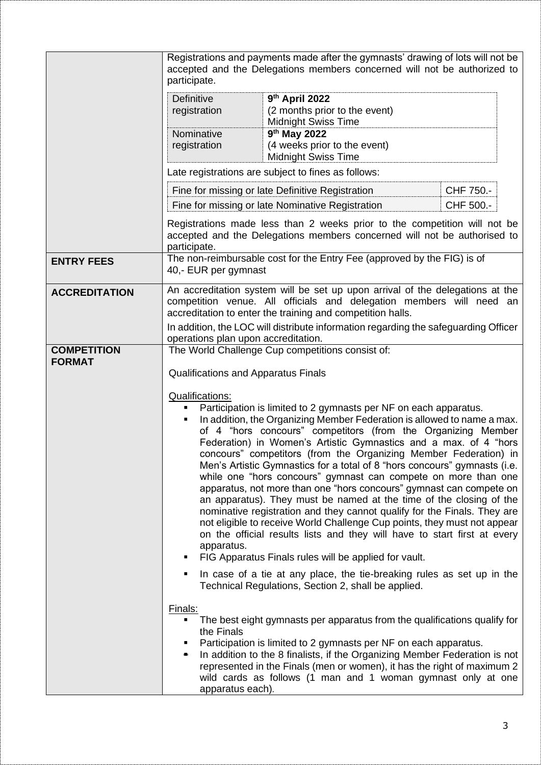|                                     | Registrations and payments made after the gymnasts' drawing of lots will not be<br>accepted and the Delegations members concerned will not be authorized to<br>participate.                                                                                                                                                                                                                                                                                                                                                                                                                                                                                                                                                                                                                                                                                                                                                                                                   |                                                                                                                                                                                                                                                                                                                                                                        |            |
|-------------------------------------|-------------------------------------------------------------------------------------------------------------------------------------------------------------------------------------------------------------------------------------------------------------------------------------------------------------------------------------------------------------------------------------------------------------------------------------------------------------------------------------------------------------------------------------------------------------------------------------------------------------------------------------------------------------------------------------------------------------------------------------------------------------------------------------------------------------------------------------------------------------------------------------------------------------------------------------------------------------------------------|------------------------------------------------------------------------------------------------------------------------------------------------------------------------------------------------------------------------------------------------------------------------------------------------------------------------------------------------------------------------|------------|
|                                     | <b>Definitive</b><br>registration                                                                                                                                                                                                                                                                                                                                                                                                                                                                                                                                                                                                                                                                                                                                                                                                                                                                                                                                             | 9th April 2022<br>(2 months prior to the event)<br><b>Midnight Swiss Time</b>                                                                                                                                                                                                                                                                                          |            |
|                                     | Nominative<br>registration                                                                                                                                                                                                                                                                                                                                                                                                                                                                                                                                                                                                                                                                                                                                                                                                                                                                                                                                                    | 9 <sup>th</sup> May 2022<br>(4 weeks prior to the event)<br><b>Midnight Swiss Time</b>                                                                                                                                                                                                                                                                                 |            |
|                                     |                                                                                                                                                                                                                                                                                                                                                                                                                                                                                                                                                                                                                                                                                                                                                                                                                                                                                                                                                                               | Late registrations are subject to fines as follows:                                                                                                                                                                                                                                                                                                                    |            |
|                                     |                                                                                                                                                                                                                                                                                                                                                                                                                                                                                                                                                                                                                                                                                                                                                                                                                                                                                                                                                                               | Fine for missing or late Definitive Registration                                                                                                                                                                                                                                                                                                                       | CHF 750.-  |
|                                     |                                                                                                                                                                                                                                                                                                                                                                                                                                                                                                                                                                                                                                                                                                                                                                                                                                                                                                                                                                               | Fine for missing or late Nominative Registration                                                                                                                                                                                                                                                                                                                       | CHF 500 .- |
|                                     | Registrations made less than 2 weeks prior to the competition will not be<br>accepted and the Delegations members concerned will not be authorised to<br>participate.                                                                                                                                                                                                                                                                                                                                                                                                                                                                                                                                                                                                                                                                                                                                                                                                         |                                                                                                                                                                                                                                                                                                                                                                        |            |
| <b>ENTRY FEES</b>                   | 40,- EUR per gymnast                                                                                                                                                                                                                                                                                                                                                                                                                                                                                                                                                                                                                                                                                                                                                                                                                                                                                                                                                          | The non-reimbursable cost for the Entry Fee (approved by the FIG) is of                                                                                                                                                                                                                                                                                                |            |
| <b>ACCREDITATION</b>                | An accreditation system will be set up upon arrival of the delegations at the<br>competition venue. All officials and delegation members will need an<br>accreditation to enter the training and competition halls.                                                                                                                                                                                                                                                                                                                                                                                                                                                                                                                                                                                                                                                                                                                                                           |                                                                                                                                                                                                                                                                                                                                                                        |            |
|                                     | In addition, the LOC will distribute information regarding the safeguarding Officer<br>operations plan upon accreditation.                                                                                                                                                                                                                                                                                                                                                                                                                                                                                                                                                                                                                                                                                                                                                                                                                                                    |                                                                                                                                                                                                                                                                                                                                                                        |            |
| <b>COMPETITION</b><br><b>FORMAT</b> | The World Challenge Cup competitions consist of:<br><b>Qualifications and Apparatus Finals</b>                                                                                                                                                                                                                                                                                                                                                                                                                                                                                                                                                                                                                                                                                                                                                                                                                                                                                |                                                                                                                                                                                                                                                                                                                                                                        |            |
|                                     |                                                                                                                                                                                                                                                                                                                                                                                                                                                                                                                                                                                                                                                                                                                                                                                                                                                                                                                                                                               |                                                                                                                                                                                                                                                                                                                                                                        |            |
|                                     | <b>Qualifications:</b>                                                                                                                                                                                                                                                                                                                                                                                                                                                                                                                                                                                                                                                                                                                                                                                                                                                                                                                                                        |                                                                                                                                                                                                                                                                                                                                                                        |            |
|                                     | Participation is limited to 2 gymnasts per NF on each apparatus.<br>In addition, the Organizing Member Federation is allowed to name a max.<br>$\blacksquare$<br>of 4 "hors concours" competitors (from the Organizing Member<br>Federation) in Women's Artistic Gymnastics and a max. of 4 "hors<br>concours" competitors (from the Organizing Member Federation) in<br>Men's Artistic Gymnastics for a total of 8 "hors concours" gymnasts (i.e.<br>while one "hors concours" gymnast can compete on more than one<br>apparatus, not more than one "hors concours" gymnast can compete on<br>an apparatus). They must be named at the time of the closing of the<br>nominative registration and they cannot qualify for the Finals. They are<br>not eligible to receive World Challenge Cup points, they must not appear<br>on the official results lists and they will have to start first at every<br>apparatus.<br>FIG Apparatus Finals rules will be applied for vault. |                                                                                                                                                                                                                                                                                                                                                                        |            |
|                                     |                                                                                                                                                                                                                                                                                                                                                                                                                                                                                                                                                                                                                                                                                                                                                                                                                                                                                                                                                                               |                                                                                                                                                                                                                                                                                                                                                                        |            |
|                                     | In case of a tie at any place, the tie-breaking rules as set up in the<br>٠<br>Technical Regulations, Section 2, shall be applied.                                                                                                                                                                                                                                                                                                                                                                                                                                                                                                                                                                                                                                                                                                                                                                                                                                            |                                                                                                                                                                                                                                                                                                                                                                        |            |
|                                     | Finals:<br>the Finals<br>٠<br>apparatus each).                                                                                                                                                                                                                                                                                                                                                                                                                                                                                                                                                                                                                                                                                                                                                                                                                                                                                                                                | The best eight gymnasts per apparatus from the qualifications qualify for<br>Participation is limited to 2 gymnasts per NF on each apparatus.<br>In addition to the 8 finalists, if the Organizing Member Federation is not<br>represented in the Finals (men or women), it has the right of maximum 2<br>wild cards as follows (1 man and 1 woman gymnast only at one |            |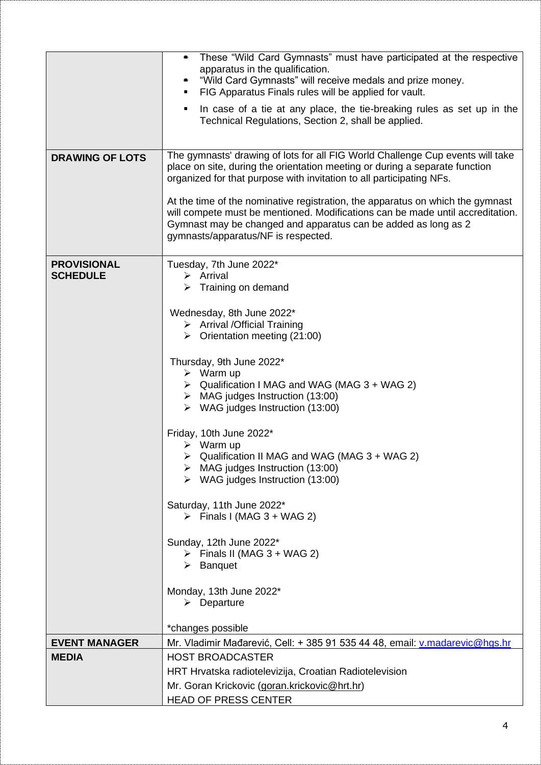| <b>DRAWING OF LOTS</b>                | These "Wild Card Gymnasts" must have participated at the respective<br>apparatus in the qualification.<br>"Wild Card Gymnasts" will receive medals and prize money.<br>FIG Apparatus Finals rules will be applied for vault.<br>In case of a tie at any place, the tie-breaking rules as set up in the<br>Technical Regulations, Section 2, shall be applied.<br>The gymnasts' drawing of lots for all FIG World Challenge Cup events will take<br>place on site, during the orientation meeting or during a separate function<br>organized for that purpose with invitation to all participating NFs.<br>At the time of the nominative registration, the apparatus on which the gymnast<br>will compete must be mentioned. Modifications can be made until accreditation.<br>Gymnast may be changed and apparatus can be added as long as 2<br>gymnasts/apparatus/NF is respected. |
|---------------------------------------|-------------------------------------------------------------------------------------------------------------------------------------------------------------------------------------------------------------------------------------------------------------------------------------------------------------------------------------------------------------------------------------------------------------------------------------------------------------------------------------------------------------------------------------------------------------------------------------------------------------------------------------------------------------------------------------------------------------------------------------------------------------------------------------------------------------------------------------------------------------------------------------|
|                                       |                                                                                                                                                                                                                                                                                                                                                                                                                                                                                                                                                                                                                                                                                                                                                                                                                                                                                     |
| <b>PROVISIONAL</b><br><b>SCHEDULE</b> | Tuesday, 7th June 2022*<br>$\triangleright$ Arrival<br>$\triangleright$ Training on demand<br>Wednesday, 8th June 2022*<br>$\triangleright$ Arrival / Official Training<br>$\triangleright$ Orientation meeting (21:00)<br>Thursday, 9th June 2022*<br>$\triangleright$ Warm up<br>$\triangleright$ Qualification I MAG and WAG (MAG 3 + WAG 2)<br>$\triangleright$ MAG judges Instruction (13:00)<br>$\triangleright$ WAG judges Instruction (13:00)<br>Friday, 10th June 2022*<br>$\triangleright$ Warm up<br>▶ Qualification II MAG and WAG (MAG 3 + WAG 2)<br>$\triangleright$ MAG judges Instruction (13:00)<br>$\triangleright$ WAG judges Instruction (13:00)                                                                                                                                                                                                                |
|                                       | Saturday, 11th June 2022*<br>$\triangleright$ Finals I (MAG 3 + WAG 2)<br>Sunday, 12th June 2022*<br>$\triangleright$ Finals II (MAG 3 + WAG 2)<br>$\triangleright$ Banquet<br>Monday, 13th June 2022*<br>$\triangleright$ Departure                                                                                                                                                                                                                                                                                                                                                                                                                                                                                                                                                                                                                                                |
|                                       |                                                                                                                                                                                                                                                                                                                                                                                                                                                                                                                                                                                                                                                                                                                                                                                                                                                                                     |
|                                       | *changes possible                                                                                                                                                                                                                                                                                                                                                                                                                                                                                                                                                                                                                                                                                                                                                                                                                                                                   |
| <b>EVENT MANAGER</b>                  | Mr. Vladimir Mađarević, Cell: + 385 91 535 44 48, email: v.madarevic@hgs.hr                                                                                                                                                                                                                                                                                                                                                                                                                                                                                                                                                                                                                                                                                                                                                                                                         |
| <b>MEDIA</b>                          | <b>HOST BROADCASTER</b>                                                                                                                                                                                                                                                                                                                                                                                                                                                                                                                                                                                                                                                                                                                                                                                                                                                             |
|                                       | HRT Hrvatska radiotelevizija, Croatian Radiotelevision                                                                                                                                                                                                                                                                                                                                                                                                                                                                                                                                                                                                                                                                                                                                                                                                                              |
|                                       | Mr. Goran Krickovic (goran.krickovic@hrt.hr)                                                                                                                                                                                                                                                                                                                                                                                                                                                                                                                                                                                                                                                                                                                                                                                                                                        |
|                                       | <b>HEAD OF PRESS CENTER</b>                                                                                                                                                                                                                                                                                                                                                                                                                                                                                                                                                                                                                                                                                                                                                                                                                                                         |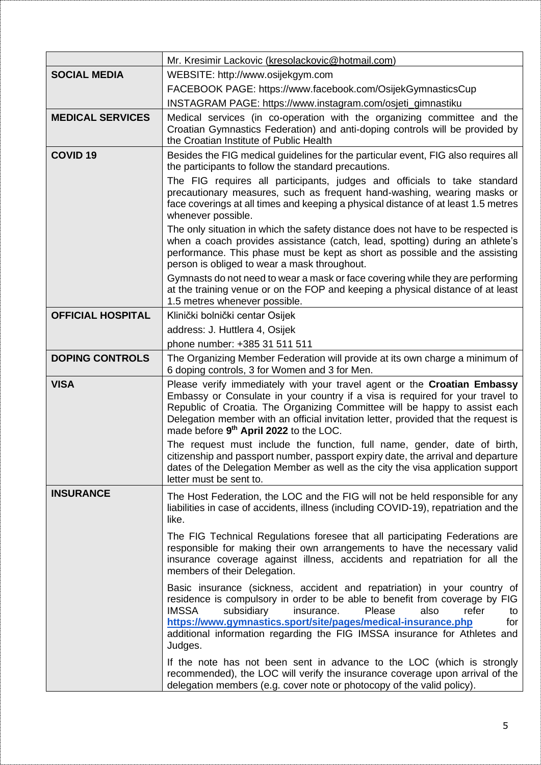|                          | Mr. Kresimir Lackovic (kresolackovic@hotmail.com)                                                                                                                                                                                                                                                                                                                                                    |  |  |
|--------------------------|------------------------------------------------------------------------------------------------------------------------------------------------------------------------------------------------------------------------------------------------------------------------------------------------------------------------------------------------------------------------------------------------------|--|--|
| <b>SOCIAL MEDIA</b>      | WEBSITE: http://www.osijekgym.com                                                                                                                                                                                                                                                                                                                                                                    |  |  |
|                          | FACEBOOK PAGE: https://www.facebook.com/OsijekGymnasticsCup                                                                                                                                                                                                                                                                                                                                          |  |  |
|                          | INSTAGRAM PAGE: https://www.instagram.com/osjeti_gimnastiku                                                                                                                                                                                                                                                                                                                                          |  |  |
| <b>MEDICAL SERVICES</b>  | Medical services (in co-operation with the organizing committee and the<br>Croatian Gymnastics Federation) and anti-doping controls will be provided by<br>the Croatian Institute of Public Health                                                                                                                                                                                                   |  |  |
| <b>COVID 19</b>          | Besides the FIG medical guidelines for the particular event, FIG also requires all<br>the participants to follow the standard precautions.                                                                                                                                                                                                                                                           |  |  |
|                          | The FIG requires all participants, judges and officials to take standard<br>precautionary measures, such as frequent hand-washing, wearing masks or<br>face coverings at all times and keeping a physical distance of at least 1.5 metres<br>whenever possible.                                                                                                                                      |  |  |
|                          | The only situation in which the safety distance does not have to be respected is<br>when a coach provides assistance (catch, lead, spotting) during an athlete's<br>performance. This phase must be kept as short as possible and the assisting<br>person is obliged to wear a mask throughout.                                                                                                      |  |  |
|                          | Gymnasts do not need to wear a mask or face covering while they are performing<br>at the training venue or on the FOP and keeping a physical distance of at least<br>1.5 metres whenever possible.                                                                                                                                                                                                   |  |  |
| <b>OFFICIAL HOSPITAL</b> | Klinički bolnički centar Osijek                                                                                                                                                                                                                                                                                                                                                                      |  |  |
|                          | address: J. Huttlera 4, Osijek                                                                                                                                                                                                                                                                                                                                                                       |  |  |
|                          | phone number: +385 31 511 511                                                                                                                                                                                                                                                                                                                                                                        |  |  |
| <b>DOPING CONTROLS</b>   | The Organizing Member Federation will provide at its own charge a minimum of<br>6 doping controls, 3 for Women and 3 for Men.                                                                                                                                                                                                                                                                        |  |  |
| <b>VISA</b>              | Please verify immediately with your travel agent or the Croatian Embassy<br>Embassy or Consulate in your country if a visa is required for your travel to<br>Republic of Croatia. The Organizing Committee will be happy to assist each<br>Delegation member with an official invitation letter, provided that the request is<br>made before 9th April 2022 to the LOC.                              |  |  |
|                          | The request must include the function, full name, gender, date of birth,<br>citizenship and passport number, passport expiry date, the arrival and departure<br>dates of the Delegation Member as well as the city the visa application support<br>letter must be sent to.                                                                                                                           |  |  |
| <b>INSURANCE</b>         | The Host Federation, the LOC and the FIG will not be held responsible for any<br>liabilities in case of accidents, illness (including COVID-19), repatriation and the<br>like.                                                                                                                                                                                                                       |  |  |
|                          | The FIG Technical Regulations foresee that all participating Federations are<br>responsible for making their own arrangements to have the necessary valid<br>insurance coverage against illness, accidents and repatriation for all the<br>members of their Delegation.                                                                                                                              |  |  |
|                          | Basic insurance (sickness, accident and repatriation) in your country of<br>residence is compulsory in order to be able to benefit from coverage by FIG<br><b>IMSSA</b><br>Please<br>subsidiary<br>insurance.<br>also<br>refer<br>to<br>https://www.gymnastics.sport/site/pages/medical-insurance.php<br>for<br>additional information regarding the FIG IMSSA insurance for Athletes and<br>Judges. |  |  |
|                          | If the note has not been sent in advance to the LOC (which is strongly<br>recommended), the LOC will verify the insurance coverage upon arrival of the<br>delegation members (e.g. cover note or photocopy of the valid policy).                                                                                                                                                                     |  |  |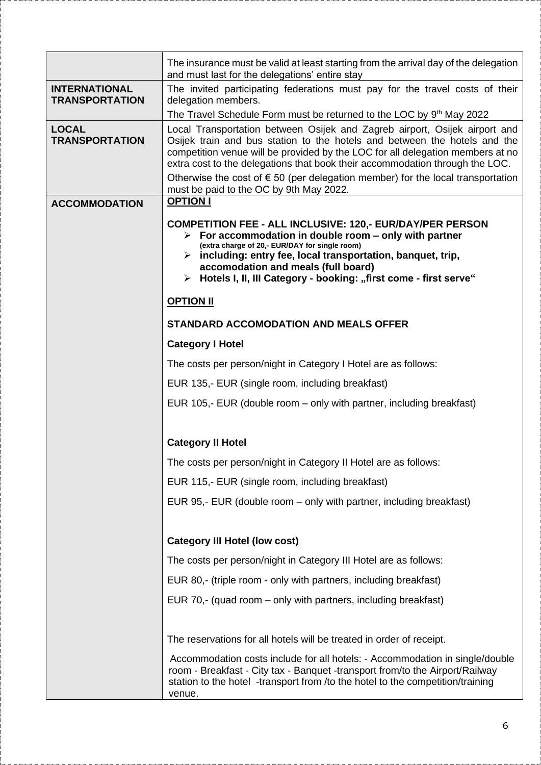|                                               | The insurance must be valid at least starting from the arrival day of the delegation<br>and must last for the delegations' entire stay                                                                                                                                                                                                                                                                                                                           |
|-----------------------------------------------|------------------------------------------------------------------------------------------------------------------------------------------------------------------------------------------------------------------------------------------------------------------------------------------------------------------------------------------------------------------------------------------------------------------------------------------------------------------|
| <b>INTERNATIONAL</b><br><b>TRANSPORTATION</b> | The invited participating federations must pay for the travel costs of their<br>delegation members.                                                                                                                                                                                                                                                                                                                                                              |
|                                               | The Travel Schedule Form must be returned to the LOC by 9th May 2022                                                                                                                                                                                                                                                                                                                                                                                             |
| <b>LOCAL</b><br><b>TRANSPORTATION</b>         | Local Transportation between Osijek and Zagreb airport, Osijek airport and<br>Osijek train and bus station to the hotels and between the hotels and the<br>competition venue will be provided by the LOC for all delegation members at no<br>extra cost to the delegations that book their accommodation through the LOC.<br>Otherwise the cost of $\epsilon$ 50 (per delegation member) for the local transportation<br>must be paid to the OC by 9th May 2022. |
| <b>ACCOMMODATION</b>                          | <b>OPTION I</b>                                                                                                                                                                                                                                                                                                                                                                                                                                                  |
|                                               | <b>COMPETITION FEE - ALL INCLUSIVE: 120,- EUR/DAY/PER PERSON</b><br>$\triangleright$ For accommodation in double room – only with partner<br>(extra charge of 20,- EUR/DAY for single room)<br>$\triangleright$ including: entry fee, local transportation, banquet, trip,<br>accomodation and meals (full board)<br>> Hotels I, II, III Category - booking: "first come - first serve"                                                                          |
|                                               | <b>OPTION II</b>                                                                                                                                                                                                                                                                                                                                                                                                                                                 |
|                                               | <b>STANDARD ACCOMODATION AND MEALS OFFER</b>                                                                                                                                                                                                                                                                                                                                                                                                                     |
|                                               | <b>Category I Hotel</b>                                                                                                                                                                                                                                                                                                                                                                                                                                          |
|                                               | The costs per person/night in Category I Hotel are as follows:                                                                                                                                                                                                                                                                                                                                                                                                   |
|                                               | EUR 135,- EUR (single room, including breakfast)                                                                                                                                                                                                                                                                                                                                                                                                                 |
|                                               | EUR 105,- EUR (double room – only with partner, including breakfast)                                                                                                                                                                                                                                                                                                                                                                                             |
|                                               | <b>Category II Hotel</b>                                                                                                                                                                                                                                                                                                                                                                                                                                         |
|                                               | The costs per person/night in Category II Hotel are as follows:                                                                                                                                                                                                                                                                                                                                                                                                  |
|                                               | EUR 115,- EUR (single room, including breakfast)                                                                                                                                                                                                                                                                                                                                                                                                                 |
|                                               | EUR 95,- EUR (double room – only with partner, including breakfast)                                                                                                                                                                                                                                                                                                                                                                                              |
|                                               | <b>Category III Hotel (low cost)</b>                                                                                                                                                                                                                                                                                                                                                                                                                             |
|                                               | The costs per person/night in Category III Hotel are as follows:                                                                                                                                                                                                                                                                                                                                                                                                 |
|                                               | EUR 80,- (triple room - only with partners, including breakfast)                                                                                                                                                                                                                                                                                                                                                                                                 |
|                                               | EUR 70,- (quad room – only with partners, including breakfast)                                                                                                                                                                                                                                                                                                                                                                                                   |
|                                               | The reservations for all hotels will be treated in order of receipt.                                                                                                                                                                                                                                                                                                                                                                                             |
|                                               | Accommodation costs include for all hotels: - Accommodation in single/double<br>room - Breakfast - City tax - Banquet -transport from/to the Airport/Railway<br>station to the hotel -transport from /to the hotel to the competition/training<br>venue.                                                                                                                                                                                                         |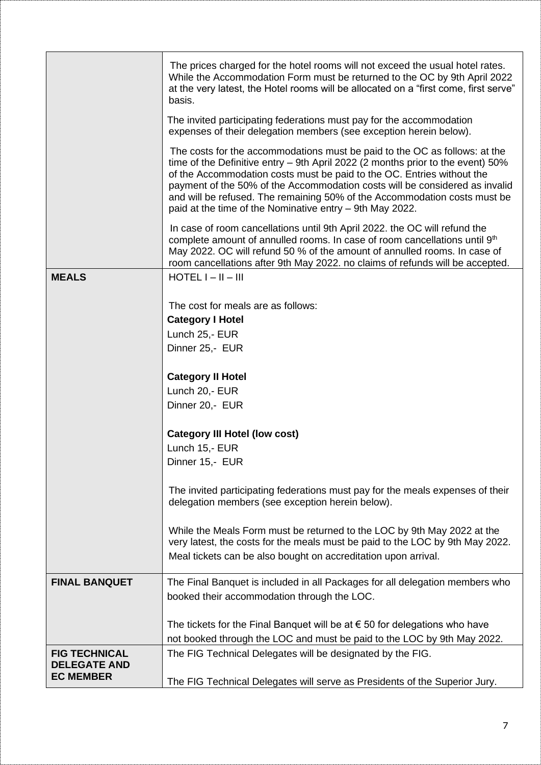|                                         | The prices charged for the hotel rooms will not exceed the usual hotel rates.<br>While the Accommodation Form must be returned to the OC by 9th April 2022<br>at the very latest, the Hotel rooms will be allocated on a "first come, first serve"<br>basis.                                                                                                                                                                                                    |
|-----------------------------------------|-----------------------------------------------------------------------------------------------------------------------------------------------------------------------------------------------------------------------------------------------------------------------------------------------------------------------------------------------------------------------------------------------------------------------------------------------------------------|
|                                         | The invited participating federations must pay for the accommodation<br>expenses of their delegation members (see exception herein below).                                                                                                                                                                                                                                                                                                                      |
|                                         | The costs for the accommodations must be paid to the OC as follows: at the<br>time of the Definitive entry - 9th April 2022 (2 months prior to the event) 50%<br>of the Accommodation costs must be paid to the OC. Entries without the<br>payment of the 50% of the Accommodation costs will be considered as invalid<br>and will be refused. The remaining 50% of the Accommodation costs must be<br>paid at the time of the Nominative entry - 9th May 2022. |
|                                         | In case of room cancellations until 9th April 2022, the OC will refund the<br>complete amount of annulled rooms. In case of room cancellations until 9th<br>May 2022. OC will refund 50 % of the amount of annulled rooms. In case of<br>room cancellations after 9th May 2022. no claims of refunds will be accepted.                                                                                                                                          |
| <b>MEALS</b>                            | $HOTEL I - II - III$                                                                                                                                                                                                                                                                                                                                                                                                                                            |
|                                         | The cost for meals are as follows:                                                                                                                                                                                                                                                                                                                                                                                                                              |
|                                         | <b>Category I Hotel</b>                                                                                                                                                                                                                                                                                                                                                                                                                                         |
|                                         | Lunch 25,- EUR                                                                                                                                                                                                                                                                                                                                                                                                                                                  |
|                                         | Dinner 25,- EUR                                                                                                                                                                                                                                                                                                                                                                                                                                                 |
|                                         | <b>Category II Hotel</b>                                                                                                                                                                                                                                                                                                                                                                                                                                        |
|                                         | Lunch 20,- EUR                                                                                                                                                                                                                                                                                                                                                                                                                                                  |
|                                         | Dinner 20,- EUR                                                                                                                                                                                                                                                                                                                                                                                                                                                 |
|                                         |                                                                                                                                                                                                                                                                                                                                                                                                                                                                 |
|                                         | <b>Category III Hotel (low cost)</b>                                                                                                                                                                                                                                                                                                                                                                                                                            |
|                                         | Lunch 15,- EUR<br>Dinner 15,- EUR                                                                                                                                                                                                                                                                                                                                                                                                                               |
|                                         |                                                                                                                                                                                                                                                                                                                                                                                                                                                                 |
|                                         | The invited participating federations must pay for the meals expenses of their<br>delegation members (see exception herein below).                                                                                                                                                                                                                                                                                                                              |
|                                         | While the Meals Form must be returned to the LOC by 9th May 2022 at the<br>very latest, the costs for the meals must be paid to the LOC by 9th May 2022.                                                                                                                                                                                                                                                                                                        |
|                                         | Meal tickets can be also bought on accreditation upon arrival.                                                                                                                                                                                                                                                                                                                                                                                                  |
| <b>FINAL BANQUET</b>                    | The Final Banquet is included in all Packages for all delegation members who                                                                                                                                                                                                                                                                                                                                                                                    |
|                                         | booked their accommodation through the LOC.                                                                                                                                                                                                                                                                                                                                                                                                                     |
|                                         | The tickets for the Final Banquet will be at $\epsilon$ 50 for delegations who have                                                                                                                                                                                                                                                                                                                                                                             |
|                                         | not booked through the LOC and must be paid to the LOC by 9th May 2022.                                                                                                                                                                                                                                                                                                                                                                                         |
| <b>FIG TECHNICAL</b>                    |                                                                                                                                                                                                                                                                                                                                                                                                                                                                 |
| <b>DELEGATE AND</b><br><b>EC MEMBER</b> | The FIG Technical Delegates will be designated by the FIG.                                                                                                                                                                                                                                                                                                                                                                                                      |
|                                         | The FIG Technical Delegates will serve as Presidents of the Superior Jury.                                                                                                                                                                                                                                                                                                                                                                                      |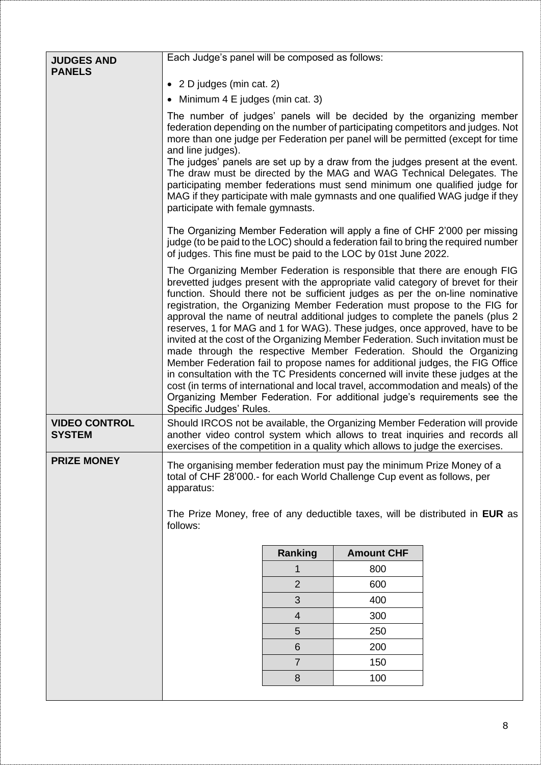| <b>JUDGES AND</b><br><b>PANELS</b>    | Each Judge's panel will be composed as follows:                                                                                                                                                                                                                                                                                                                                                                                                                                                                                                                                                                                                                                                                                                                                                                                                                                                                                                                                                                             |                |                   |  |
|---------------------------------------|-----------------------------------------------------------------------------------------------------------------------------------------------------------------------------------------------------------------------------------------------------------------------------------------------------------------------------------------------------------------------------------------------------------------------------------------------------------------------------------------------------------------------------------------------------------------------------------------------------------------------------------------------------------------------------------------------------------------------------------------------------------------------------------------------------------------------------------------------------------------------------------------------------------------------------------------------------------------------------------------------------------------------------|----------------|-------------------|--|
|                                       | • 2 D judges (min cat. 2)                                                                                                                                                                                                                                                                                                                                                                                                                                                                                                                                                                                                                                                                                                                                                                                                                                                                                                                                                                                                   |                |                   |  |
|                                       | • Minimum 4 E judges (min cat. 3)                                                                                                                                                                                                                                                                                                                                                                                                                                                                                                                                                                                                                                                                                                                                                                                                                                                                                                                                                                                           |                |                   |  |
|                                       | The number of judges' panels will be decided by the organizing member<br>federation depending on the number of participating competitors and judges. Not<br>more than one judge per Federation per panel will be permitted (except for time<br>and line judges).<br>The judges' panels are set up by a draw from the judges present at the event.<br>The draw must be directed by the MAG and WAG Technical Delegates. The<br>participating member federations must send minimum one qualified judge for<br>MAG if they participate with male gymnasts and one qualified WAG judge if they<br>participate with female gymnasts.                                                                                                                                                                                                                                                                                                                                                                                             |                |                   |  |
|                                       | The Organizing Member Federation will apply a fine of CHF 2'000 per missing<br>judge (to be paid to the LOC) should a federation fail to bring the required number<br>of judges. This fine must be paid to the LOC by 01st June 2022.                                                                                                                                                                                                                                                                                                                                                                                                                                                                                                                                                                                                                                                                                                                                                                                       |                |                   |  |
|                                       | The Organizing Member Federation is responsible that there are enough FIG<br>brevetted judges present with the appropriate valid category of brevet for their<br>function. Should there not be sufficient judges as per the on-line nominative<br>registration, the Organizing Member Federation must propose to the FIG for<br>approval the name of neutral additional judges to complete the panels (plus 2)<br>reserves, 1 for MAG and 1 for WAG). These judges, once approved, have to be<br>invited at the cost of the Organizing Member Federation. Such invitation must be<br>made through the respective Member Federation. Should the Organizing<br>Member Federation fail to propose names for additional judges, the FIG Office<br>in consultation with the TC Presidents concerned will invite these judges at the<br>cost (in terms of international and local travel, accommodation and meals) of the<br>Organizing Member Federation. For additional judge's requirements see the<br>Specific Judges' Rules. |                |                   |  |
| <b>VIDEO CONTROL</b><br><b>SYSTEM</b> | Should IRCOS not be available, the Organizing Member Federation will provide<br>another video control system which allows to treat inquiries and records all<br>exercises of the competition in a quality which allows to judge the exercises.                                                                                                                                                                                                                                                                                                                                                                                                                                                                                                                                                                                                                                                                                                                                                                              |                |                   |  |
| <b>PRIZE MONEY</b>                    | The organising member federation must pay the minimum Prize Money of a<br>total of CHF 28'000.- for each World Challenge Cup event as follows, per<br>apparatus:<br>The Prize Money, free of any deductible taxes, will be distributed in EUR as<br>follows:                                                                                                                                                                                                                                                                                                                                                                                                                                                                                                                                                                                                                                                                                                                                                                |                |                   |  |
|                                       |                                                                                                                                                                                                                                                                                                                                                                                                                                                                                                                                                                                                                                                                                                                                                                                                                                                                                                                                                                                                                             | Ranking        | <b>Amount CHF</b> |  |
|                                       |                                                                                                                                                                                                                                                                                                                                                                                                                                                                                                                                                                                                                                                                                                                                                                                                                                                                                                                                                                                                                             | 1              | 800               |  |
|                                       |                                                                                                                                                                                                                                                                                                                                                                                                                                                                                                                                                                                                                                                                                                                                                                                                                                                                                                                                                                                                                             | $\overline{2}$ | 600               |  |
|                                       |                                                                                                                                                                                                                                                                                                                                                                                                                                                                                                                                                                                                                                                                                                                                                                                                                                                                                                                                                                                                                             | 3              | 400               |  |
|                                       |                                                                                                                                                                                                                                                                                                                                                                                                                                                                                                                                                                                                                                                                                                                                                                                                                                                                                                                                                                                                                             | 4              | 300               |  |
|                                       |                                                                                                                                                                                                                                                                                                                                                                                                                                                                                                                                                                                                                                                                                                                                                                                                                                                                                                                                                                                                                             | 5              | 250               |  |
|                                       |                                                                                                                                                                                                                                                                                                                                                                                                                                                                                                                                                                                                                                                                                                                                                                                                                                                                                                                                                                                                                             | 6              | 200               |  |
|                                       |                                                                                                                                                                                                                                                                                                                                                                                                                                                                                                                                                                                                                                                                                                                                                                                                                                                                                                                                                                                                                             | $\overline{7}$ | 150               |  |
|                                       |                                                                                                                                                                                                                                                                                                                                                                                                                                                                                                                                                                                                                                                                                                                                                                                                                                                                                                                                                                                                                             | 8              | 100               |  |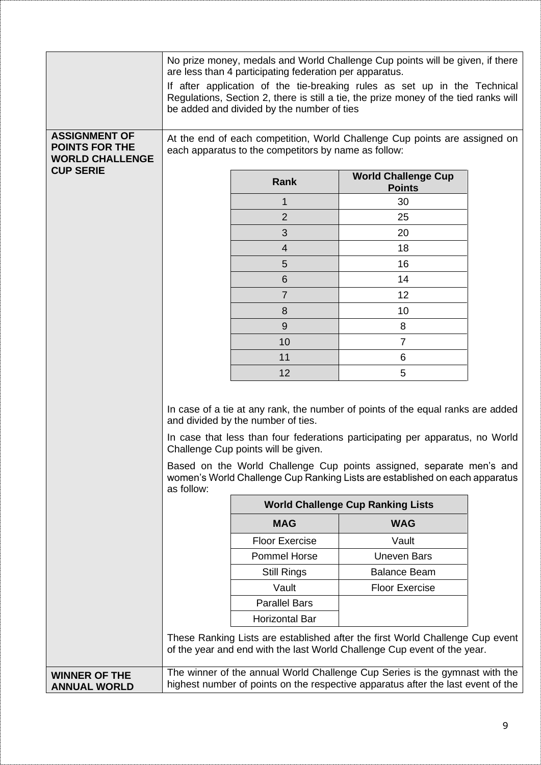|                                                                         |                                                                                                                                                                                                                                                                                                                                                                                                      | are less than 4 participating federation per apparatus.<br>be added and divided by the number of ties | No prize money, medals and World Challenge Cup points will be given, if there<br>If after application of the tie-breaking rules as set up in the Technical<br>Regulations, Section 2, there is still a tie, the prize money of the tied ranks will |  |
|-------------------------------------------------------------------------|------------------------------------------------------------------------------------------------------------------------------------------------------------------------------------------------------------------------------------------------------------------------------------------------------------------------------------------------------------------------------------------------------|-------------------------------------------------------------------------------------------------------|----------------------------------------------------------------------------------------------------------------------------------------------------------------------------------------------------------------------------------------------------|--|
| <b>ASSIGNMENT OF</b><br><b>POINTS FOR THE</b><br><b>WORLD CHALLENGE</b> | At the end of each competition, World Challenge Cup points are assigned on<br>each apparatus to the competitors by name as follow:                                                                                                                                                                                                                                                                   |                                                                                                       |                                                                                                                                                                                                                                                    |  |
| <b>CUP SERIE</b>                                                        |                                                                                                                                                                                                                                                                                                                                                                                                      | Rank                                                                                                  | <b>World Challenge Cup</b><br><b>Points</b>                                                                                                                                                                                                        |  |
|                                                                         |                                                                                                                                                                                                                                                                                                                                                                                                      | 1                                                                                                     | 30                                                                                                                                                                                                                                                 |  |
|                                                                         |                                                                                                                                                                                                                                                                                                                                                                                                      | $\overline{2}$                                                                                        | 25                                                                                                                                                                                                                                                 |  |
|                                                                         |                                                                                                                                                                                                                                                                                                                                                                                                      | 3                                                                                                     | 20                                                                                                                                                                                                                                                 |  |
|                                                                         |                                                                                                                                                                                                                                                                                                                                                                                                      | $\overline{4}$                                                                                        | 18                                                                                                                                                                                                                                                 |  |
|                                                                         |                                                                                                                                                                                                                                                                                                                                                                                                      | 5                                                                                                     | 16                                                                                                                                                                                                                                                 |  |
|                                                                         |                                                                                                                                                                                                                                                                                                                                                                                                      | 6                                                                                                     | 14                                                                                                                                                                                                                                                 |  |
|                                                                         |                                                                                                                                                                                                                                                                                                                                                                                                      | 7                                                                                                     | 12                                                                                                                                                                                                                                                 |  |
|                                                                         |                                                                                                                                                                                                                                                                                                                                                                                                      | 8                                                                                                     | 10                                                                                                                                                                                                                                                 |  |
|                                                                         |                                                                                                                                                                                                                                                                                                                                                                                                      | 9                                                                                                     | 8                                                                                                                                                                                                                                                  |  |
|                                                                         |                                                                                                                                                                                                                                                                                                                                                                                                      | 10                                                                                                    | 7                                                                                                                                                                                                                                                  |  |
|                                                                         |                                                                                                                                                                                                                                                                                                                                                                                                      | 11                                                                                                    | 6                                                                                                                                                                                                                                                  |  |
|                                                                         |                                                                                                                                                                                                                                                                                                                                                                                                      | 12                                                                                                    | 5                                                                                                                                                                                                                                                  |  |
|                                                                         | In case of a tie at any rank, the number of points of the equal ranks are added<br>and divided by the number of ties.<br>In case that less than four federations participating per apparatus, no World<br>Challenge Cup points will be given.<br>Based on the World Challenge Cup points assigned, separate men's and<br>women's World Challenge Cup Ranking Lists are established on each apparatus |                                                                                                       |                                                                                                                                                                                                                                                    |  |
|                                                                         | as follow:                                                                                                                                                                                                                                                                                                                                                                                           |                                                                                                       | <b>World Challenge Cup Ranking Lists</b>                                                                                                                                                                                                           |  |
|                                                                         |                                                                                                                                                                                                                                                                                                                                                                                                      | <b>MAG</b>                                                                                            | <b>WAG</b>                                                                                                                                                                                                                                         |  |
|                                                                         |                                                                                                                                                                                                                                                                                                                                                                                                      | <b>Floor Exercise</b>                                                                                 | Vault                                                                                                                                                                                                                                              |  |
|                                                                         |                                                                                                                                                                                                                                                                                                                                                                                                      | <b>Pommel Horse</b>                                                                                   | <b>Uneven Bars</b>                                                                                                                                                                                                                                 |  |
|                                                                         |                                                                                                                                                                                                                                                                                                                                                                                                      | <b>Still Rings</b>                                                                                    | <b>Balance Beam</b>                                                                                                                                                                                                                                |  |
|                                                                         |                                                                                                                                                                                                                                                                                                                                                                                                      | Vault                                                                                                 | <b>Floor Exercise</b>                                                                                                                                                                                                                              |  |
|                                                                         |                                                                                                                                                                                                                                                                                                                                                                                                      | <b>Parallel Bars</b>                                                                                  |                                                                                                                                                                                                                                                    |  |
|                                                                         |                                                                                                                                                                                                                                                                                                                                                                                                      | <b>Horizontal Bar</b>                                                                                 |                                                                                                                                                                                                                                                    |  |
|                                                                         |                                                                                                                                                                                                                                                                                                                                                                                                      |                                                                                                       | These Ranking Lists are established after the first World Challenge Cup event<br>of the year and end with the last World Challenge Cup event of the year.                                                                                          |  |
| <b>WINNER OF THE</b>                                                    |                                                                                                                                                                                                                                                                                                                                                                                                      |                                                                                                       | The winner of the annual World Challenge Cup Series is the gymnast with the                                                                                                                                                                        |  |
| <b>ANNUAL WORLD</b>                                                     | highest number of points on the respective apparatus after the last event of the                                                                                                                                                                                                                                                                                                                     |                                                                                                       |                                                                                                                                                                                                                                                    |  |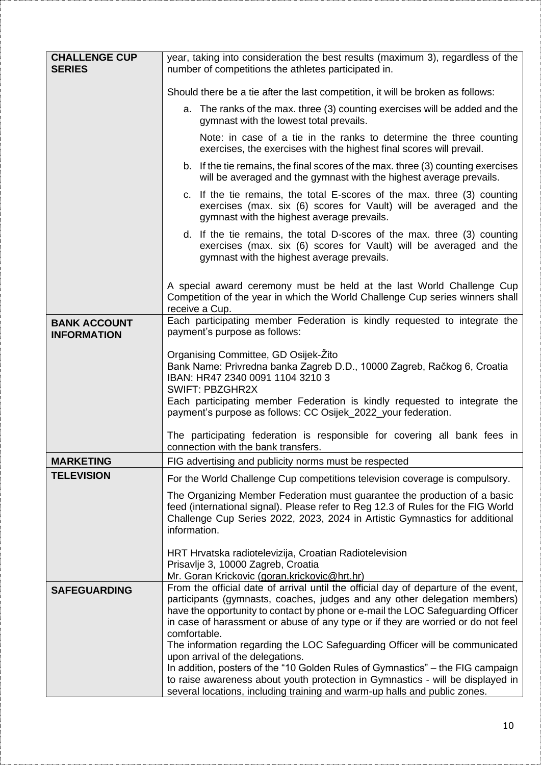| <b>CHALLENGE CUP</b><br><b>SERIES</b>     | year, taking into consideration the best results (maximum 3), regardless of the<br>number of competitions the athletes participated in.                                                                                                                                                                                                                                                                                                                                                                                                                                                                                                        |
|-------------------------------------------|------------------------------------------------------------------------------------------------------------------------------------------------------------------------------------------------------------------------------------------------------------------------------------------------------------------------------------------------------------------------------------------------------------------------------------------------------------------------------------------------------------------------------------------------------------------------------------------------------------------------------------------------|
|                                           | Should there be a tie after the last competition, it will be broken as follows:                                                                                                                                                                                                                                                                                                                                                                                                                                                                                                                                                                |
|                                           | a. The ranks of the max. three (3) counting exercises will be added and the<br>gymnast with the lowest total prevails.                                                                                                                                                                                                                                                                                                                                                                                                                                                                                                                         |
|                                           | Note: in case of a tie in the ranks to determine the three counting<br>exercises, the exercises with the highest final scores will prevail.                                                                                                                                                                                                                                                                                                                                                                                                                                                                                                    |
|                                           | b. If the tie remains, the final scores of the max. three (3) counting exercises<br>will be averaged and the gymnast with the highest average prevails.                                                                                                                                                                                                                                                                                                                                                                                                                                                                                        |
|                                           | c. If the tie remains, the total E-scores of the max. three (3) counting<br>exercises (max. six (6) scores for Vault) will be averaged and the<br>gymnast with the highest average prevails.                                                                                                                                                                                                                                                                                                                                                                                                                                                   |
|                                           | d. If the tie remains, the total D-scores of the max. three (3) counting<br>exercises (max. six (6) scores for Vault) will be averaged and the<br>gymnast with the highest average prevails.                                                                                                                                                                                                                                                                                                                                                                                                                                                   |
|                                           | A special award ceremony must be held at the last World Challenge Cup<br>Competition of the year in which the World Challenge Cup series winners shall<br>receive a Cup.                                                                                                                                                                                                                                                                                                                                                                                                                                                                       |
| <b>BANK ACCOUNT</b><br><b>INFORMATION</b> | Each participating member Federation is kindly requested to integrate the<br>payment's purpose as follows:                                                                                                                                                                                                                                                                                                                                                                                                                                                                                                                                     |
|                                           | Organising Committee, GD Osijek-Zito<br>Bank Name: Privredna banka Zagreb D.D., 10000 Zagreb, Račkog 6, Croatia<br>IBAN: HR47 2340 0091 1104 3210 3<br><b>SWIFT: PBZGHR2X</b><br>Each participating member Federation is kindly requested to integrate the<br>payment's purpose as follows: CC Osijek_2022_your federation.                                                                                                                                                                                                                                                                                                                    |
|                                           | The participating federation is responsible for covering all bank fees in<br>connection with the bank transfers.                                                                                                                                                                                                                                                                                                                                                                                                                                                                                                                               |
| <b>MARKETING</b>                          | FIG advertising and publicity norms must be respected                                                                                                                                                                                                                                                                                                                                                                                                                                                                                                                                                                                          |
| <b>TELEVISION</b>                         | For the World Challenge Cup competitions television coverage is compulsory.                                                                                                                                                                                                                                                                                                                                                                                                                                                                                                                                                                    |
|                                           | The Organizing Member Federation must guarantee the production of a basic<br>feed (international signal). Please refer to Reg 12.3 of Rules for the FIG World<br>Challenge Cup Series 2022, 2023, 2024 in Artistic Gymnastics for additional<br>information.                                                                                                                                                                                                                                                                                                                                                                                   |
|                                           | HRT Hrvatska radiotelevizija, Croatian Radiotelevision<br>Prisavlje 3, 10000 Zagreb, Croatia<br>Mr. Goran Krickovic (goran.krickovic@hrt.hr)                                                                                                                                                                                                                                                                                                                                                                                                                                                                                                   |
| <b>SAFEGUARDING</b>                       | From the official date of arrival until the official day of departure of the event,<br>participants (gymnasts, coaches, judges and any other delegation members)<br>have the opportunity to contact by phone or e-mail the LOC Safeguarding Officer<br>in case of harassment or abuse of any type or if they are worried or do not feel<br>comfortable.<br>The information regarding the LOC Safeguarding Officer will be communicated<br>upon arrival of the delegations.<br>In addition, posters of the "10 Golden Rules of Gymnastics" – the FIG campaign<br>to raise awareness about youth protection in Gymnastics - will be displayed in |
|                                           | several locations, including training and warm-up halls and public zones.                                                                                                                                                                                                                                                                                                                                                                                                                                                                                                                                                                      |